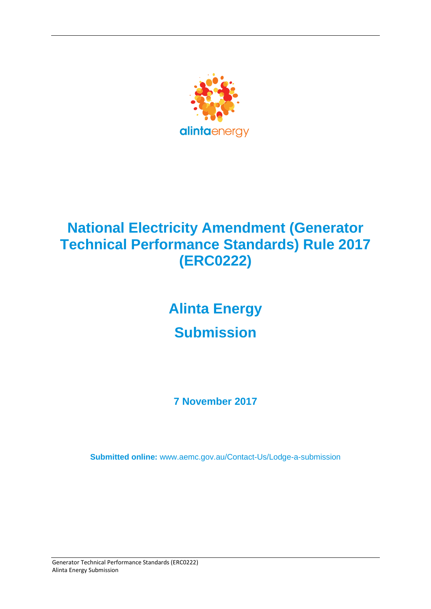

# **National Electricity Amendment (Generator Technical Performance Standards) Rule 2017 (ERC0222)**

# **Alinta Energy Submission**

**7 November 2017**

**Submitted online:** [www.aemc.gov.au/Contact-Us/Lodge-a-submission](http://www.aemc.gov.au/contact-Us/Lodge-a-submission)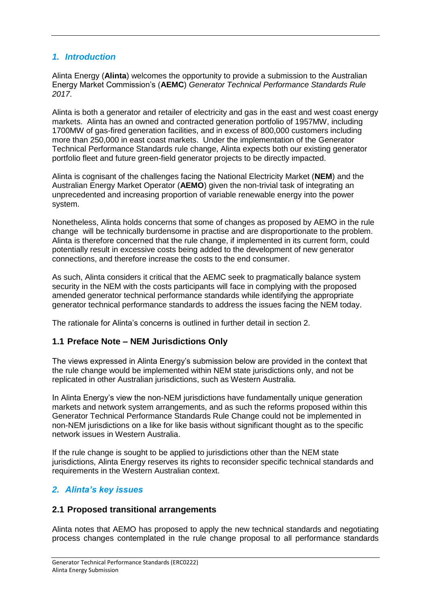# *1. Introduction*

Alinta Energy (**Alinta**) welcomes the opportunity to provide a submission to the Australian Energy Market Commission's (**AEMC**) *Generator Technical Performance Standards Rule 2017*.

Alinta is both a generator and retailer of electricity and gas in the east and west coast energy markets. Alinta has an owned and contracted generation portfolio of 1957MW, including 1700MW of gas-fired generation facilities, and in excess of 800,000 customers including more than 250,000 in east coast markets. Under the implementation of the Generator Technical Performance Standards rule change, Alinta expects both our existing generator portfolio fleet and future green-field generator projects to be directly impacted.

Alinta is cognisant of the challenges facing the National Electricity Market (**NEM**) and the Australian Energy Market Operator (**AEMO**) given the non-trivial task of integrating an unprecedented and increasing proportion of variable renewable energy into the power system.

Nonetheless, Alinta holds concerns that some of changes as proposed by AEMO in the rule change will be technically burdensome in practise and are disproportionate to the problem. Alinta is therefore concerned that the rule change, if implemented in its current form, could potentially result in excessive costs being added to the development of new generator connections, and therefore increase the costs to the end consumer.

As such, Alinta considers it critical that the AEMC seek to pragmatically balance system security in the NEM with the costs participants will face in complying with the proposed amended generator technical performance standards while identifying the appropriate generator technical performance standards to address the issues facing the NEM today.

The rationale for Alinta's concerns is outlined in further detail in section 2.

# **1.1 Preface Note – NEM Jurisdictions Only**

The views expressed in Alinta Energy's submission below are provided in the context that the rule change would be implemented within NEM state jurisdictions only, and not be replicated in other Australian jurisdictions, such as Western Australia.

In Alinta Energy's view the non-NEM jurisdictions have fundamentally unique generation markets and network system arrangements, and as such the reforms proposed within this Generator Technical Performance Standards Rule Change could not be implemented in non-NEM jurisdictions on a like for like basis without significant thought as to the specific network issues in Western Australia.

If the rule change is sought to be applied to jurisdictions other than the NEM state jurisdictions, Alinta Energy reserves its rights to reconsider specific technical standards and requirements in the Western Australian context.

# *2. Alinta's key issues*

# **2.1 Proposed transitional arrangements**

Alinta notes that AEMO has proposed to apply the new technical standards and negotiating process changes contemplated in the rule change proposal to all performance standards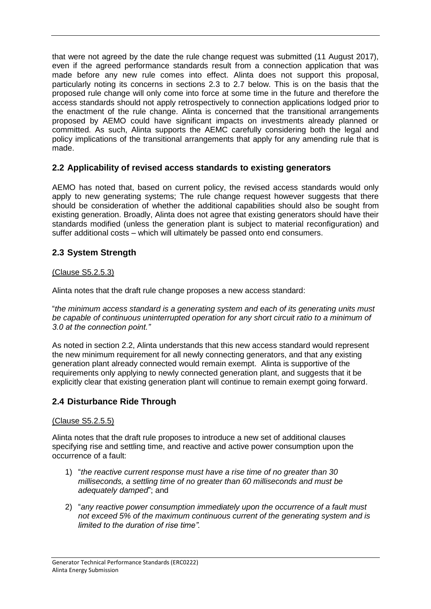that were not agreed by the date the rule change request was submitted (11 August 2017), even if the agreed performance standards result from a connection application that was made before any new rule comes into effect. Alinta does not support this proposal, particularly noting its concerns in sections 2.3 to 2.7 below. This is on the basis that the proposed rule change will only come into force at some time in the future and therefore the access standards should not apply retrospectively to connection applications lodged prior to the enactment of the rule change. Alinta is concerned that the transitional arrangements proposed by AEMO could have significant impacts on investments already planned or committed. As such, Alinta supports the AEMC carefully considering both the legal and policy implications of the transitional arrangements that apply for any amending rule that is made.

# **2.2 Applicability of revised access standards to existing generators**

AEMO has noted that, based on current policy, the revised access standards would only apply to new generating systems; The rule change request however suggests that there should be consideration of whether the additional capabilities should also be sought from existing generation. Broadly, Alinta does not agree that existing generators should have their standards modified (unless the generation plant is subject to material reconfiguration) and suffer additional costs – which will ultimately be passed onto end consumers.

# **2.3 System Strength**

#### (Clause S5.2.5.3)

Alinta notes that the draft rule change proposes a new access standard:

"*the minimum access standard is a generating system and each of its generating units must be capable of continuous uninterrupted operation for any short circuit ratio to a minimum of 3.0 at the connection point."*

As noted in section 2.2, Alinta understands that this new access standard would represent the new minimum requirement for all newly connecting generators, and that any existing generation plant already connected would remain exempt. Alinta is supportive of the requirements only applying to newly connected generation plant, and suggests that it be explicitly clear that existing generation plant will continue to remain exempt going forward.

#### **2.4 Disturbance Ride Through**

#### (Clause S5.2.5.5)

Alinta notes that the draft rule proposes to introduce a new set of additional clauses specifying rise and settling time, and reactive and active power consumption upon the occurrence of a fault:

- 1) "*the reactive current response must have a rise time of no greater than 30 milliseconds, a settling time of no greater than 60 milliseconds and must be adequately damped*"; and
- 2) "*any reactive power consumption immediately upon the occurrence of a fault must not exceed 5% of the maximum continuous current of the generating system and is limited to the duration of rise time".*

Generator Technical Performance Standards (ERC0222) Alinta Energy Submission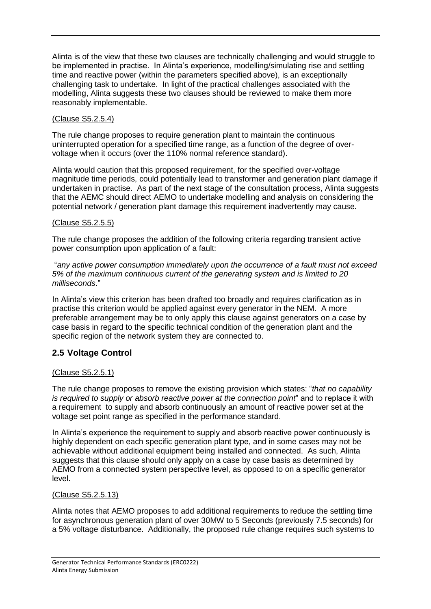Alinta is of the view that these two clauses are technically challenging and would struggle to be implemented in practise. In Alinta's experience, modelling/simulating rise and settling time and reactive power (within the parameters specified above), is an exceptionally challenging task to undertake. In light of the practical challenges associated with the modelling, Alinta suggests these two clauses should be reviewed to make them more reasonably implementable.

#### (Clause S5.2.5.4)

The rule change proposes to require generation plant to maintain the continuous uninterrupted operation for a specified time range, as a function of the degree of overvoltage when it occurs (over the 110% normal reference standard).

Alinta would caution that this proposed requirement, for the specified over-voltage magnitude time periods, could potentially lead to transformer and generation plant damage if undertaken in practise. As part of the next stage of the consultation process, Alinta suggests that the AEMC should direct AEMO to undertake modelling and analysis on considering the potential network / generation plant damage this requirement inadvertently may cause.

#### (Clause S5.2.5.5)

The rule change proposes the addition of the following criteria regarding transient active power consumption upon application of a fault:

"*any active power consumption immediately upon the occurrence of a fault must not exceed 5% of the maximum continuous current of the generating system and is limited to 20 milliseconds*."

In Alinta's view this criterion has been drafted too broadly and requires clarification as in practise this criterion would be applied against every generator in the NEM. A more preferable arrangement may be to only apply this clause against generators on a case by case basis in regard to the specific technical condition of the generation plant and the specific region of the network system they are connected to.

# **2.5 Voltage Control**

#### (Clause S5.2.5.1)

The rule change proposes to remove the existing provision which states: "*that no capability is required to supply or absorb reactive power at the connection point*" and to replace it with a requirement to supply and absorb continuously an amount of reactive power set at the voltage set point range as specified in the performance standard.

In Alinta's experience the requirement to supply and absorb reactive power continuously is highly dependent on each specific generation plant type, and in some cases may not be achievable without additional equipment being installed and connected. As such, Alinta suggests that this clause should only apply on a case by case basis as determined by AEMO from a connected system perspective level, as opposed to on a specific generator level.

#### (Clause S5.2.5.13)

Alinta notes that AEMO proposes to add additional requirements to reduce the settling time for asynchronous generation plant of over 30MW to 5 Seconds (previously 7.5 seconds) for a 5% voltage disturbance. Additionally, the proposed rule change requires such systems to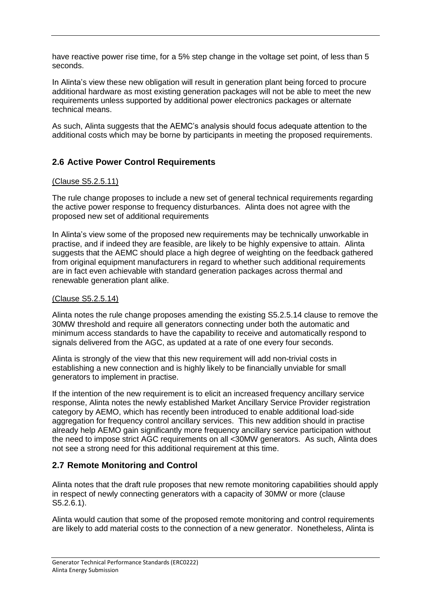have reactive power rise time, for a 5% step change in the voltage set point, of less than 5 seconds.

In Alinta's view these new obligation will result in generation plant being forced to procure additional hardware as most existing generation packages will not be able to meet the new requirements unless supported by additional power electronics packages or alternate technical means.

As such, Alinta suggests that the AEMC's analysis should focus adequate attention to the additional costs which may be borne by participants in meeting the proposed requirements.

# **2.6 Active Power Control Requirements**

#### (Clause S5.2.5.11)

The rule change proposes to include a new set of general technical requirements regarding the active power response to frequency disturbances. Alinta does not agree with the proposed new set of additional requirements

In Alinta's view some of the proposed new requirements may be technically unworkable in practise, and if indeed they are feasible, are likely to be highly expensive to attain. Alinta suggests that the AEMC should place a high degree of weighting on the feedback gathered from original equipment manufacturers in regard to whether such additional requirements are in fact even achievable with standard generation packages across thermal and renewable generation plant alike.

#### (Clause S5.2.5.14)

Alinta notes the rule change proposes amending the existing S5.2.5.14 clause to remove the 30MW threshold and require all generators connecting under both the automatic and minimum access standards to have the capability to receive and automatically respond to signals delivered from the AGC, as updated at a rate of one every four seconds.

Alinta is strongly of the view that this new requirement will add non-trivial costs in establishing a new connection and is highly likely to be financially unviable for small generators to implement in practise.

If the intention of the new requirement is to elicit an increased frequency ancillary service response, Alinta notes the newly established Market Ancillary Service Provider registration category by AEMO, which has recently been introduced to enable additional load-side aggregation for frequency control ancillary services. This new addition should in practise already help AEMO gain significantly more frequency ancillary service participation without the need to impose strict AGC requirements on all <30MW generators. As such, Alinta does not see a strong need for this additional requirement at this time.

# **2.7 Remote Monitoring and Control**

Alinta notes that the draft rule proposes that new remote monitoring capabilities should apply in respect of newly connecting generators with a capacity of 30MW or more (clause S5.2.6.1).

Alinta would caution that some of the proposed remote monitoring and control requirements are likely to add material costs to the connection of a new generator. Nonetheless, Alinta is